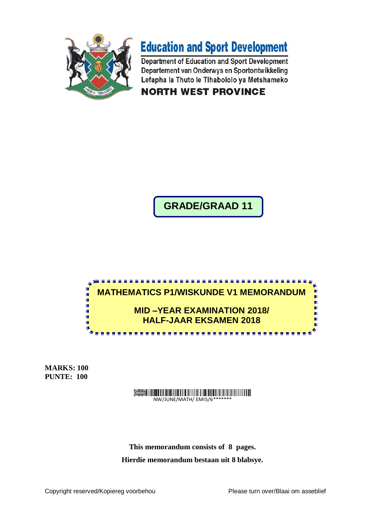



Department of Education and Sport Development Departement van Onderwys en Sportontwikkeling Lefapha la Thuto le Tlhabololo ya Metshameko **NORTH WEST PROVINCE** 

**GRADE/GRAAD 11**



**MARKS: 100 PUNTE: 100**

# Demo

NW/JUNE/MATH/ EMIS/6\*

**This memorandum consists of 8 pages. Hierdie memorandum bestaan uit 8 blabsye.**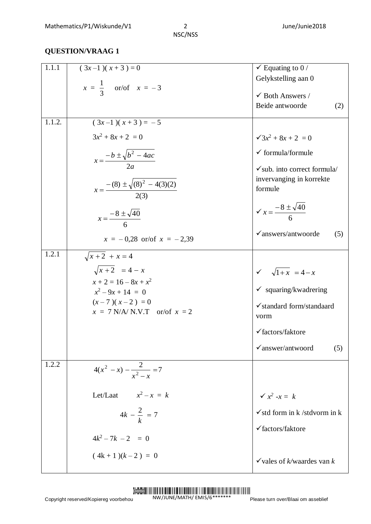**QUESTION/VRAAG 1**

| 1.1.1  | $(3x-1)(x+3)=0$                                    | $\checkmark$ Equating to 0 /                         |
|--------|----------------------------------------------------|------------------------------------------------------|
|        |                                                    | Gelykstelling aan 0                                  |
|        | $x = \frac{1}{3}$ or/of $x = -3$                   | $\checkmark$ Both Answers /                          |
|        |                                                    | Beide antwoorde<br>(2)                               |
| 1.1.2. | $(3x-1)(x+3) = -5$                                 |                                                      |
|        | $3x^2 + 8x + 2 = 0$                                | $\sqrt{3x^2+8x+2}=0$                                 |
|        | $x = \frac{-b \pm \sqrt{b^2 - 4ac}}{2a}$           | $\checkmark$ formula/formule                         |
|        |                                                    | $\checkmark$ sub. into correct formula/              |
|        | $x = \frac{-(8) \pm \sqrt{(8)^2 - 4(3)(2)}}{2(3)}$ | invervanging in korrekte<br>formule                  |
|        | $x = \frac{-8 \pm \sqrt{40}}{6}$                   | $x = \frac{-8 \pm \sqrt{40}}{6}$                     |
|        | $x = -0.28$ or/of $x = -2.39$                      | $\checkmark$ answers/antwoorde<br>(5)                |
| 1.2.1  | $\sqrt{x+2} + x = 4$                               |                                                      |
|        | $\sqrt{x+2}$ = 4 - x                               | $\sqrt{1+x} = 4-x$                                   |
|        | $x + 2 = 16 - 8x + x^2$<br>$x^2-9x+14=0$           | $\checkmark$ squaring/kwadrering                     |
|        | $(x-7)(x-2) = 0$                                   | $\checkmark$ standard form/standaard                 |
|        | $x = 7$ N/A/ N.V.T or/of $x = 2$                   | vorm                                                 |
|        |                                                    | $\checkmark$ factors/faktore                         |
|        |                                                    | $\checkmark$ answer/antwoord<br>(5)                  |
| 1.2.2  | $4(x^2 - x) - \frac{2}{x^2 - x} = 7$               |                                                      |
|        | Let/Laat $x^2 - x = k$                             | $\checkmark$ $x^2$ -x = k                            |
|        | $4k - \frac{2}{k} = 7$                             | $\checkmark$ std form in k /stdvorm in k             |
|        | $4k^2 - 7k - 2 = 0$                                | $\checkmark$ factors/faktore                         |
|        |                                                    |                                                      |
|        | $(4k+1)(k-2) = 0$                                  | $\checkmark$ vales of <i>k</i> /waardes van <i>k</i> |

#### Demo

NW/JUNE/MATH/ EMIS/6\*\*\*\*\*\*\*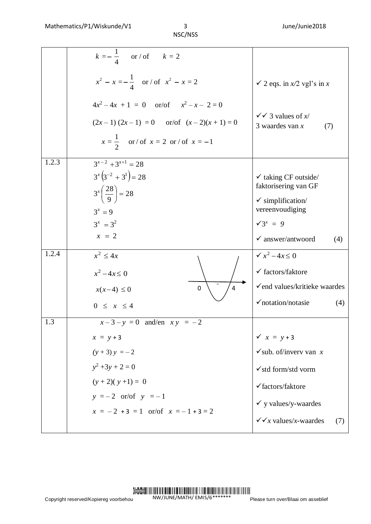|       | $k = -\frac{1}{4}$ or / of $k = 2$                                                      |                                                            |
|-------|-----------------------------------------------------------------------------------------|------------------------------------------------------------|
|       | $x^{2} - x = -\frac{1}{4}$ or / of $x^{2} - x = 2$                                      | $\checkmark$ 2 eqs. in $x/2$ vgl's in x                    |
|       | $4x^2-4x + 1 = 0$ or/of $x^2-x-2=0$<br>$(2x-1)(2x-1) = 0$ or/of $(x-2)(x+1) = 0$        | $\sqrt{\sqrt{3}}$ values of x/<br>3 waardes van $x$<br>(7) |
|       | $x = \frac{1}{2}$ or/ of $x = 2$ or/ of $x = -1$                                        |                                                            |
| 1.2.3 | $3^{x-2}+3^{x+1}=28$<br>$3^{x}(3^{-2}+3^{1})=28$<br>$3^{x}\left(\frac{28}{9}\right)=28$ | $\checkmark$ taking CF outside/<br>faktorisering van GF    |
|       | $3^x = 9$                                                                               | $\checkmark$ simplification/<br>vereenvoudiging            |
|       | $3^x = 3^2$                                                                             | $\sqrt{3^x} = 9$                                           |
|       | $x = 2$                                                                                 | $\checkmark$ answer/antwoord<br>(4)                        |
| 1.2.4 | $x^2 \leq 4x$<br>$x^2 - 4x \le 0$                                                       | $\sqrt{x^2-4x} \leq 0$<br>$\checkmark$ factors/faktore     |
|       | $\mathbf 0$<br>$x(x-4) \leq 0$                                                          | $\checkmark$ end values/kritieke waardes                   |
|       | $0 \leq x \leq 4$                                                                       | $\checkmark$ notation/notasie<br>(4)                       |
| 1.3   | $x-3-y=0$ and/en $xy = -2$                                                              |                                                            |
|       | $x = y + 3$                                                                             | $\checkmark$ $x = y + 3$                                   |
|       | $(y + 3)y = -2$                                                                         | $\checkmark$ sub. of/inverv van x                          |
|       | $y^2 + 3y + 2 = 0$                                                                      | $\checkmark$ std form/std vorm                             |
|       | $(y + 2)(y + 1) = 0$                                                                    | √factors/faktore                                           |
|       | $y = -2$ or/of $y = -1$                                                                 | $\checkmark$ y values/y-waardes                            |
|       | $x = -2 + 3 = 1$ or/of $x = -1 + 3 = 2$                                                 | $\checkmark$ $\checkmark$ $\chi$ values/x-waardes<br>(7)   |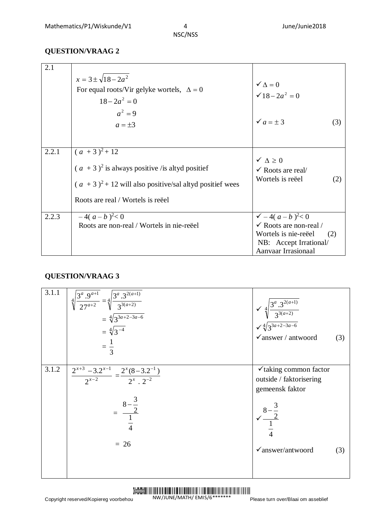## **QUESTION/VRAAG 2**

| 2.1   | $x = 3 \pm \sqrt{18 - 2a^2}$                                                                                                         |                                                                                                                                             |  |
|-------|--------------------------------------------------------------------------------------------------------------------------------------|---------------------------------------------------------------------------------------------------------------------------------------------|--|
|       | For equal roots/Vir gelyke wortels, $\Delta = 0$<br>$18-2a^2=0$                                                                      | $\checkmark \Delta = 0$<br>$\sqrt{18-2a^2}=0$                                                                                               |  |
|       | $a^2=9$<br>$a = \pm 3$                                                                                                               | $\checkmark$ $a = \pm 3$<br>(3)                                                                                                             |  |
| 2.2.1 | $(a + 3)^2 + 12$<br>$(a + 3)^2$ is always positive /is altyd positief<br>$(a + 3)^2 + 12$ will also positive/sal altyd positief wees | $\checkmark \Delta \geq 0$<br>$\checkmark$ Roots are real/<br>Wortels is reëel<br>(2)                                                       |  |
|       | Roots are real / Wortels is reeel                                                                                                    |                                                                                                                                             |  |
| 2.2.3 | $-4(a-b)^{2} < 0$<br>Roots are non-real / Wortels in nie-reëel                                                                       | $\sqrt{-4(a-b)^2} < 0$<br>$\checkmark$ Roots are non-real /<br>Wortels is nie-reëel<br>(2)<br>NB: Accept Irrational/<br>Aanvaar Irrasionaal |  |

### **QUESTION/VRAAG 3**

| 3.1.1 | $4\sqrt{\frac{3^a \cdot 9^{a+1}}{27^{a+2}}}$ = $4\sqrt{\frac{3^a \cdot 3^{2(a+1)}}{3^{3(a+2)}}}$<br>= $4\sqrt{3^{3a+2-3a-6}}$<br>= $4\sqrt{3^{-4}}$<br>$=\frac{1}{3}$ | $\sqrt[4]{\frac{3^a \cdot 3^{2(a+1)}}{3^{3(a+2)}}}$<br>$\sqrt[4]{\frac{4}{3^{3a+2-3a-6}}}$<br>$\checkmark$ answer / antwoord                           | (3) |
|-------|-----------------------------------------------------------------------------------------------------------------------------------------------------------------------|--------------------------------------------------------------------------------------------------------------------------------------------------------|-----|
| 3.1.2 | $\frac{2^{x+3}-3.2^{x-1}}{2^{x-2}}=\frac{2^x(8-3.2^{-1})}{2^x\cdot 2^{-2}}$<br>$=\frac{8-\frac{3}{2}}{\frac{1}{4}}$<br>$= 26$                                         | $\checkmark$ taking common factor<br>outside / faktorisering<br>gemeensk faktor<br>$\frac{8-\frac{3}{2}}{\frac{1}{4}}$<br>$\checkmark$ answer/antwoord | (3) |

#### Demo NW/JUNE/MATH/ EMIS/6\*\*\*\*\*\*\*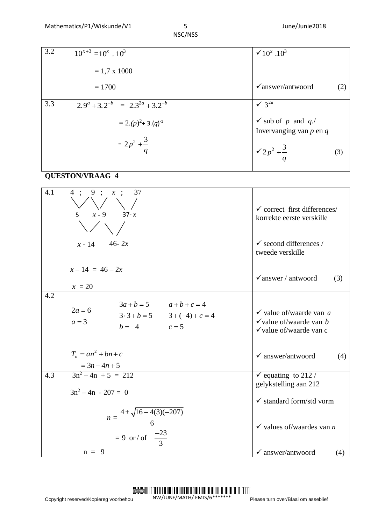| 3.2 | $10^{x+3} = 10^x \cdot 10^3$             | $\times 10^{x}$ .10 <sup>3</sup>                             |
|-----|------------------------------------------|--------------------------------------------------------------|
|     | $= 1.7 \times 1000$                      |                                                              |
|     | $= 1700$                                 | $\checkmark$ answer/antwoord<br>(2)                          |
| 3.3 | $2.9^a + 3.2^{-b} = 2.3^{2a} + 3.2^{-b}$ | $\sqrt{3}^{2a}$                                              |
|     | $= 2.(p)^{2} + 3.(q)^{-1}$               | $\checkmark$ sub of p and q./<br>Invervanging van $p$ en $q$ |
|     | $=2p^2+\frac{3}{q}$                      | $\sqrt{2p^2+\frac{3}{a}}$<br>(3)                             |

# **QUESTON/VRAAG 4**

| 4.1 | 4:9: x:37<br>5 $x - 9$ 37-x                                                                             | $\checkmark$ correct first differences/<br>korrekte eerste verskille                               |
|-----|---------------------------------------------------------------------------------------------------------|----------------------------------------------------------------------------------------------------|
|     | $x - 14$ 46-2x                                                                                          | $\checkmark$ second differences /<br>tweede verskille                                              |
|     | $x - 14 = 46 - 2x$<br>$x = 20$                                                                          | $\checkmark$ answer / antwoord<br>(3)                                                              |
| 4.2 | $3a + b = 5$ $a+b+c=4$<br>$2a=6$<br>$3 \cdot 3 + b = 5$ $3 + (-4) + c = 4$<br>$a=3$<br>$b = -4$ $c = 5$ | $\checkmark$ value of/waarde van a<br>$\checkmark$ value of/waarde van b<br>√value of/waarde van c |
|     | $T_n = an^2 + bn + c$<br>$=3n-4n+5$                                                                     | $\checkmark$ answer/antwoord<br>(4)                                                                |
| 4.3 | $3n^2-4n + 5 = 212$<br>$3n^2 - 4n - 207 = 0$                                                            | $\checkmark$ equating to 212 /<br>gelykstelling aan 212                                            |
|     | $n = \frac{4 \pm \sqrt{16 - 4(3)(-207)}}{6}$                                                            | $\checkmark$ standard form/std vorm                                                                |
|     | = 9 or/ of $\frac{-23}{3}$                                                                              | $\checkmark$ values of/waardes van <i>n</i>                                                        |
|     | $n = 9$                                                                                                 | $\checkmark$ answer/antwoord<br>(4)                                                                |

#### Demo NW/JUNE/MATH/ EMIS/6\*\*\*\*\*\*\*

Please turn over/Blaai om asseblief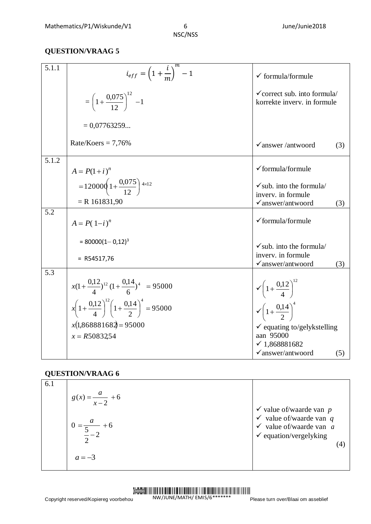# **QUESTION/VRAAG 5**

| 5.1.1 | $i_{eff} = \left(1 + \frac{i}{m}\right)^m - 1$                               | $\checkmark$ formula/formule                                                                     |  |
|-------|------------------------------------------------------------------------------|--------------------------------------------------------------------------------------------------|--|
|       | $=\left(1+\frac{0.075}{12}\right)^{12}$ -1                                   | $\checkmark$ correct sub. into formula/<br>korrekte inverv. in formule                           |  |
|       | $= 0.07763259$                                                               |                                                                                                  |  |
|       | Rate/Koers = $7,76%$                                                         | $\checkmark$ answer /antwoord<br>(3)                                                             |  |
| 5.1.2 | $A = P(1+i)^n$                                                               | √formula/formule                                                                                 |  |
|       | $=120000\left(1+\frac{0.075}{12}\right)$ <sup>4×12</sup><br>$= R 161831,90$  | $\checkmark$ sub. into the formula/<br>inverv. in formule<br>$\sqrt{a}$ nswer/antwoord<br>(3)    |  |
| 5.2   | $A = P(1-i)^n$                                                               | $\checkmark$ formula/formule                                                                     |  |
|       | $= 80000(1-0.12)^{3}$<br>$=$ R54517,76                                       | $\checkmark$ sub. into the formula/<br>inverv. in formule<br>$\checkmark$ answer/antwoord<br>(3) |  |
| 5.3   |                                                                              |                                                                                                  |  |
|       | $x(1+\frac{0.12}{4})^{12} (1+\frac{0.14}{6})^4 = 95000$                      | $\sqrt{\left(1+\frac{0.12}{4}\right)^{12}}$                                                      |  |
|       | $x\left(1+\frac{0.12}{4}\right)^{12}\left(1+\frac{0.14}{2}\right)^{4}=95000$ | $\sqrt{\left(1+\frac{0.14}{2}\right)^4}$                                                         |  |
|       | $x(1,868881682) = 95000$                                                     | $\checkmark$ equating to/gelykstelling                                                           |  |
|       | $x = R5083254$                                                               | aan 95000                                                                                        |  |
|       |                                                                              | $\checkmark$ 1,868881682                                                                         |  |
|       |                                                                              | $\checkmark$ answer/antwoord<br>(5)                                                              |  |

## **QUESTION/VRAAG 6**

| 6.1 | $g(x) = \frac{a}{x-2} + 6$                    |                                                                                                                                                              |
|-----|-----------------------------------------------|--------------------------------------------------------------------------------------------------------------------------------------------------------------|
|     | $\frac{u}{2}$ + 6<br>$\frac{1}{\frac{5}{-2}}$ | $\checkmark$ value of/waarde van p<br>$\checkmark$ value of/waarde van $q$<br>$\checkmark$ value of/waarde van a<br>$\checkmark$ equation/vergelyking<br>(4) |
|     | $a = -3$                                      |                                                                                                                                                              |

#### Demo

NW/JUNE/MATH/ EMIS/6\*\*\*\*\*\*\*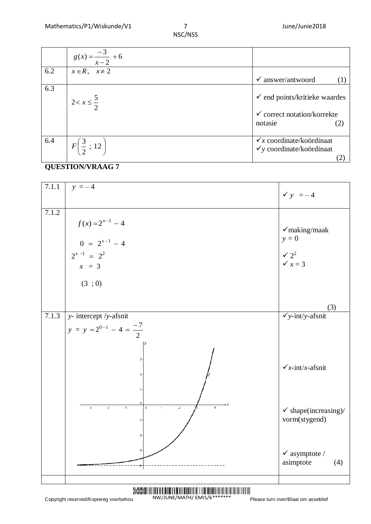|     | $g(x) = \frac{-3}{x-2} + 6$    |                                                                                               |
|-----|--------------------------------|-----------------------------------------------------------------------------------------------|
| 6.2 | $x \in R$ , $x \neq 2$         | $\checkmark$ answer/antwoord                                                                  |
| 6.3 | $2 < x \leq \frac{5}{2}$       | $\checkmark$ end points/kritieke waardes<br>$\checkmark$ correct notation/korrekte<br>notasie |
| 6.4 | $F\left(\frac{3}{2};12\right)$ | $\checkmark$ x coordinate/koördinaat<br>$\checkmark$ y coordinate/koördinaat                  |

## **QUESTION/VRAAG 7**

|                                                                                                                               | $\frac{g(x) = \frac{b}{x-2} + 6}{x \in R, \quad x \neq 2}$                         |                                                                                     |                                                                                           |
|-------------------------------------------------------------------------------------------------------------------------------|------------------------------------------------------------------------------------|-------------------------------------------------------------------------------------|-------------------------------------------------------------------------------------------|
| 6.2                                                                                                                           |                                                                                    |                                                                                     | $\checkmark$ answer/antwoord<br>(1)                                                       |
| 6.3                                                                                                                           | $2 < x \leq \frac{5}{2}$                                                           | notasie                                                                             | $\checkmark$ end points/kritieke waardes<br>$\checkmark$ correct notation/korrekte<br>(2) |
| 6.4                                                                                                                           | $F\left(\frac{3}{2};12\right)$                                                     | $\checkmark$ x coordinate/koördinaat<br>$\checkmark$ y coordinate/koördinaat<br>(2) |                                                                                           |
|                                                                                                                               | <b>QUESTION/VRAAG 7</b>                                                            |                                                                                     |                                                                                           |
| 7.1.1                                                                                                                         | $y = -4$                                                                           |                                                                                     | $\checkmark$ y = -4                                                                       |
| 7.1.2                                                                                                                         | $f(x) = 2^{x-1} - 4$<br>$0 = 2^{x-1} - 4$<br>$2^{x-1} = 2^2$<br>$x = 3$<br>(3 ; 0) |                                                                                     | $\checkmark$ making/maak<br>$y = 0$<br>$\checkmark$ $2^2$<br>$\checkmark$ $x=3$           |
|                                                                                                                               |                                                                                    |                                                                                     | (3)                                                                                       |
| 7.1.3                                                                                                                         | y-intercept /y-afsnit<br>$y = y = 2^{0-1} - 4 = \frac{-7}{2}$<br>$\overline{2}$    |                                                                                     | $\checkmark$ y-int/y-afsnit                                                               |
|                                                                                                                               | 3<br>2                                                                             |                                                                                     | $\sqrt{x}$ -int/x-afsnit                                                                  |
|                                                                                                                               | $-1$<br>$-3$<br>$-2$<br>0<br>$\hat{z}$<br>$\overline{4}$<br>1<br>-1<br>$-2$        |                                                                                     | $\checkmark$ shape(increasing)/<br>vorm(stygend)                                          |
|                                                                                                                               | $-3$                                                                               |                                                                                     | $\checkmark$ asymptote /<br>asimptote<br>(4)                                              |
| $\frac{1}{2}$<br>NW/JUNE/MATH/ EMIS/6 *******<br>Copyright reserved/Kopiereg voorbehou<br>Please turn over/Blaai om asseblief |                                                                                    |                                                                                     |                                                                                           |

#### Demo NW/JUNE/MATH/ EMIS/6\*\*\*\*\*\*\*